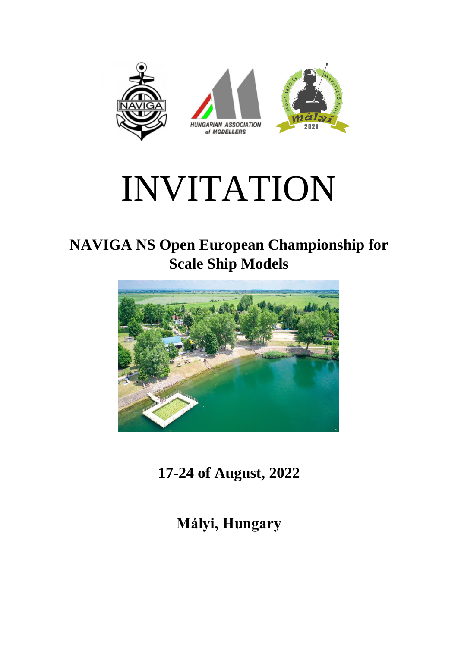

## INVITATION

## **NAVIGA NS Open European Championship for Scale Ship Models**



**17-24 of August, 2022**

**Mályi, Hungary**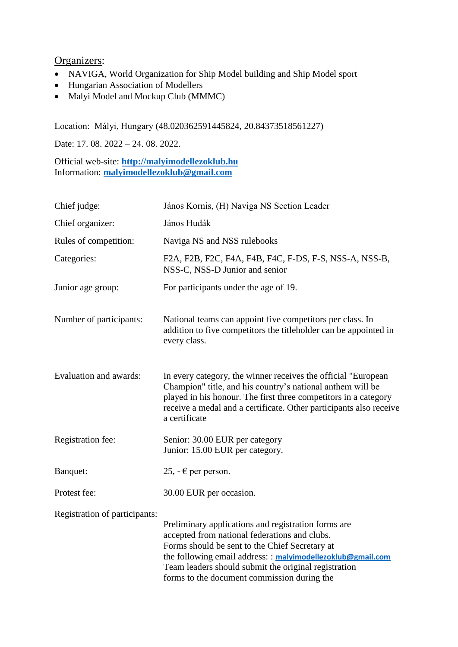## Organizers:

- NAVIGA, World Organization for Ship Model building and Ship Model sport
- Hungarian Association of Modellers
- Malyi Model and Mockup Club (MMMC)

Location: Mályi, Hungary (48.020362591445824, 20.84373518561227)

Date: 17. 08. 2022 – 24. 08. 2022.

Official web-site: **[http://malyimodellezoklub.hu](http://malyimodellezoklub.hu/)** Information: **[malyimodellezoklub@gmail.com](mailto:malyimodellezoklub@gmail.com)**

| Chief judge:                  | János Kornis, (H) Naviga NS Section Leader                                                                                                                                                                                                                                                                                   |
|-------------------------------|------------------------------------------------------------------------------------------------------------------------------------------------------------------------------------------------------------------------------------------------------------------------------------------------------------------------------|
| Chief organizer:              | János Hudák                                                                                                                                                                                                                                                                                                                  |
| Rules of competition:         | Naviga NS and NSS rulebooks                                                                                                                                                                                                                                                                                                  |
| Categories:                   | F2A, F2B, F2C, F4A, F4B, F4C, F-DS, F-S, NSS-A, NSS-B,<br>NSS-C, NSS-D Junior and senior                                                                                                                                                                                                                                     |
| Junior age group:             | For participants under the age of 19.                                                                                                                                                                                                                                                                                        |
| Number of participants:       | National teams can appoint five competitors per class. In<br>addition to five competitors the titleholder can be appointed in<br>every class.                                                                                                                                                                                |
| Evaluation and awards:        | In every category, the winner receives the official "European<br>Champion" title, and his country's national anthem will be<br>played in his honour. The first three competitors in a category<br>receive a medal and a certificate. Other participants also receive<br>a certificate                                        |
| Registration fee:             | Senior: 30.00 EUR per category<br>Junior: 15.00 EUR per category.                                                                                                                                                                                                                                                            |
| Banquet:                      | 25, - € per person.                                                                                                                                                                                                                                                                                                          |
| Protest fee:                  | 30.00 EUR per occasion.                                                                                                                                                                                                                                                                                                      |
| Registration of participants: | Preliminary applications and registration forms are<br>accepted from national federations and clubs.<br>Forms should be sent to the Chief Secretary at<br>the following email address: : malyimodellezoklub@gmail.com<br>Team leaders should submit the original registration<br>forms to the document commission during the |